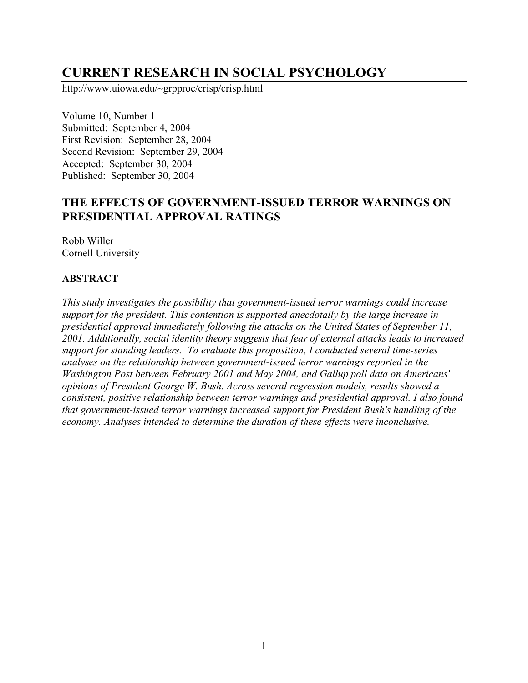# **CURRENT RESEARCH IN SOCIAL PSYCHOLOGY**

http://www.uiowa.edu/~grpproc/crisp/crisp.html

Volume 10, Number 1 Submitted: September 4, 2004 First Revision: September 28, 2004 Second Revision: September 29, 2004 Accepted: September 30, 2004 Published: September 30, 2004

## **THE EFFECTS OF GOVERNMENT-ISSUED TERROR WARNINGS ON PRESIDENTIAL APPROVAL RATINGS**

Robb Willer Cornell University

#### **ABSTRACT**

*This study investigates the possibility that government-issued terror warnings could increase support for the president. This contention is supported anecdotally by the large increase in presidential approval immediately following the attacks on the United States of September 11, 2001. Additionally, social identity theory suggests that fear of external attacks leads to increased support for standing leaders. To evaluate this proposition, I conducted several time-series analyses on the relationship between government-issued terror warnings reported in the Washington Post between February 2001 and May 2004, and Gallup poll data on Americans' opinions of President George W. Bush. Across several regression models, results showed a consistent, positive relationship between terror warnings and presidential approval. I also found that government-issued terror warnings increased support for President Bush's handling of the economy. Analyses intended to determine the duration of these effects were inconclusive.*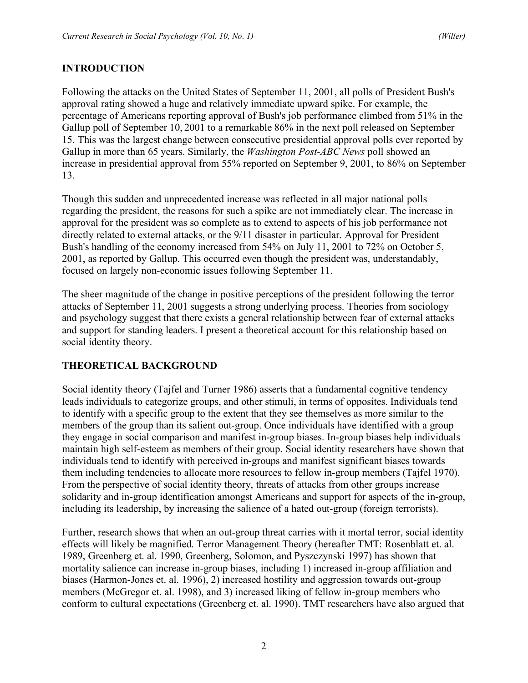## **INTRODUCTION**

Following the attacks on the United States of September 11, 2001, all polls of President Bush's approval rating showed a huge and relatively immediate upward spike. For example, the percentage of Americans reporting approval of Bush's job performance climbed from 51% in the Gallup poll of September 10, 2001 to a remarkable 86% in the next poll released on September 15. This was the largest change between consecutive presidential approval polls ever reported by Gallup in more than 65 years. Similarly, the *Washington Post-ABC News* poll showed an increase in presidential approval from 55% reported on September 9, 2001, to 86% on September 13.

Though this sudden and unprecedented increase was reflected in all major national polls regarding the president, the reasons for such a spike are not immediately clear. The increase in approval for the president was so complete as to extend to aspects of his job performance not directly related to external attacks, or the 9/11 disaster in particular. Approval for President Bush's handling of the economy increased from 54% on July 11, 2001 to 72% on October 5, 2001, as reported by Gallup. This occurred even though the president was, understandably, focused on largely non-economic issues following September 11.

The sheer magnitude of the change in positive perceptions of the president following the terror attacks of September 11, 2001 suggests a strong underlying process. Theories from sociology and psychology suggest that there exists a general relationship between fear of external attacks and support for standing leaders. I present a theoretical account for this relationship based on social identity theory.

## **THEORETICAL BACKGROUND**

Social identity theory (Tajfel and Turner 1986) asserts that a fundamental cognitive tendency leads individuals to categorize groups, and other stimuli, in terms of opposites. Individuals tend to identify with a specific group to the extent that they see themselves as more similar to the members of the group than its salient out-group. Once individuals have identified with a group they engage in social comparison and manifest in-group biases. In-group biases help individuals maintain high self-esteem as members of their group. Social identity researchers have shown that individuals tend to identify with perceived in-groups and manifest significant biases towards them including tendencies to allocate more resources to fellow in-group members (Tajfel 1970). From the perspective of social identity theory, threats of attacks from other groups increase solidarity and in-group identification amongst Americans and support for aspects of the in-group, including its leadership, by increasing the salience of a hated out-group (foreign terrorists).

Further, research shows that when an out-group threat carries with it mortal terror, social identity effects will likely be magnified. Terror Management Theory (hereafter TMT: Rosenblatt et. al. 1989, Greenberg et. al. 1990, Greenberg, Solomon, and Pyszczynski 1997) has shown that mortality salience can increase in-group biases, including 1) increased in-group affiliation and biases (Harmon-Jones et. al. 1996), 2) increased hostility and aggression towards out-group members (McGregor et. al. 1998), and 3) increased liking of fellow in-group members who conform to cultural expectations (Greenberg et. al. 1990). TMT researchers have also argued that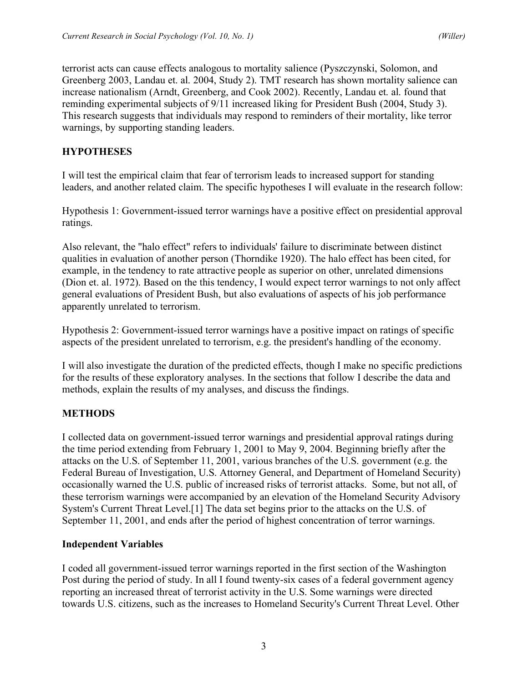terrorist acts can cause effects analogous to mortality salience (Pyszczynski, Solomon, and Greenberg 2003, Landau et. al. 2004, Study 2). TMT research has shown mortality salience can increase nationalism (Arndt, Greenberg, and Cook 2002). Recently, Landau et. al. found that reminding experimental subjects of 9/11 increased liking for President Bush (2004, Study 3). This research suggests that individuals may respond to reminders of their mortality, like terror warnings, by supporting standing leaders.

#### **HYPOTHESES**

I will test the empirical claim that fear of terrorism leads to increased support for standing leaders, and another related claim. The specific hypotheses I will evaluate in the research follow:

Hypothesis 1: Government-issued terror warnings have a positive effect on presidential approval ratings.

Also relevant, the "halo effect" refers to individuals' failure to discriminate between distinct qualities in evaluation of another person (Thorndike 1920). The halo effect has been cited, for example, in the tendency to rate attractive people as superior on other, unrelated dimensions (Dion et. al. 1972). Based on the this tendency, I would expect terror warnings to not only affect general evaluations of President Bush, but also evaluations of aspects of his job performance apparently unrelated to terrorism.

Hypothesis 2: Government-issued terror warnings have a positive impact on ratings of specific aspects of the president unrelated to terrorism, e.g. the president's handling of the economy.

I will also investigate the duration of the predicted effects, though I make no specific predictions for the results of these exploratory analyses. In the sections that follow I describe the data and methods, explain the results of my analyses, and discuss the findings.

## **METHODS**

I collected data on government-issued terror warnings and presidential approval ratings during the time period extending from February 1, 2001 to May 9, 2004. Beginning briefly after the attacks on the U.S. of September 11, 2001, various branches of the U.S. government (e.g. the Federal Bureau of Investigation, U.S. Attorney General, and Department of Homeland Security) occasionally warned the U.S. public of increased risks of terrorist attacks. Some, but not all, of these terrorism warnings were accompanied by an elevation of the Homeland Security Advisory System's Current Threat Level.[1] The data set begins prior to the attacks on the U.S. of September 11, 2001, and ends after the period of highest concentration of terror warnings.

#### **Independent Variables**

I coded all government-issued terror warnings reported in the first section of the Washington Post during the period of study. In all I found twenty-six cases of a federal government agency reporting an increased threat of terrorist activity in the U.S. Some warnings were directed towards U.S. citizens, such as the increases to Homeland Security's Current Threat Level. Other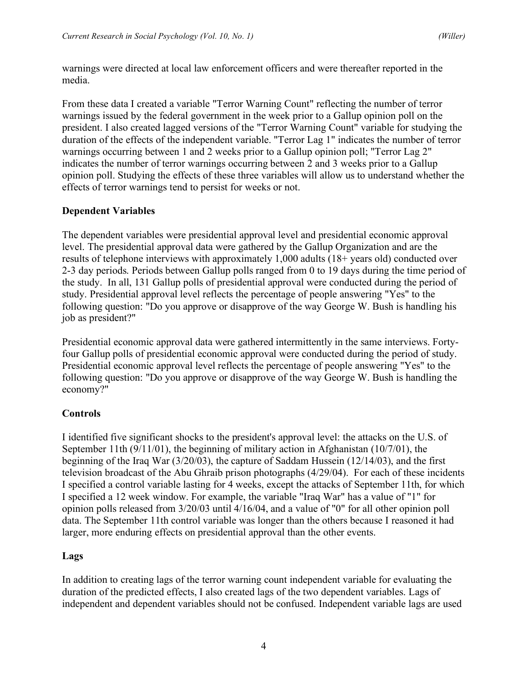warnings were directed at local law enforcement officers and were thereafter reported in the media.

From these data I created a variable "Terror Warning Count" reflecting the number of terror warnings issued by the federal government in the week prior to a Gallup opinion poll on the president. I also created lagged versions of the "Terror Warning Count" variable for studying the duration of the effects of the independent variable. "Terror Lag 1" indicates the number of terror warnings occurring between 1 and 2 weeks prior to a Gallup opinion poll; "Terror Lag 2" indicates the number of terror warnings occurring between 2 and 3 weeks prior to a Gallup opinion poll. Studying the effects of these three variables will allow us to understand whether the effects of terror warnings tend to persist for weeks or not.

## **Dependent Variables**

The dependent variables were presidential approval level and presidential economic approval level. The presidential approval data were gathered by the Gallup Organization and are the results of telephone interviews with approximately 1,000 adults (18+ years old) conducted over 2-3 day periods. Periods between Gallup polls ranged from 0 to 19 days during the time period of the study. In all, 131 Gallup polls of presidential approval were conducted during the period of study. Presidential approval level reflects the percentage of people answering "Yes" to the following question: "Do you approve or disapprove of the way George W. Bush is handling his job as president?"

Presidential economic approval data were gathered intermittently in the same interviews. Fortyfour Gallup polls of presidential economic approval were conducted during the period of study. Presidential economic approval level reflects the percentage of people answering "Yes" to the following question: "Do you approve or disapprove of the way George W. Bush is handling the economy?"

## **Controls**

I identified five significant shocks to the president's approval level: the attacks on the U.S. of September 11th (9/11/01), the beginning of military action in Afghanistan (10/7/01), the beginning of the Iraq War (3/20/03), the capture of Saddam Hussein (12/14/03), and the first television broadcast of the Abu Ghraib prison photographs (4/29/04). For each of these incidents I specified a control variable lasting for 4 weeks, except the attacks of September 11th, for which I specified a 12 week window. For example, the variable "Iraq War" has a value of "1" for opinion polls released from 3/20/03 until 4/16/04, and a value of "0" for all other opinion poll data. The September 11th control variable was longer than the others because I reasoned it had larger, more enduring effects on presidential approval than the other events.

#### **Lags**

In addition to creating lags of the terror warning count independent variable for evaluating the duration of the predicted effects, I also created lags of the two dependent variables. Lags of independent and dependent variables should not be confused. Independent variable lags are used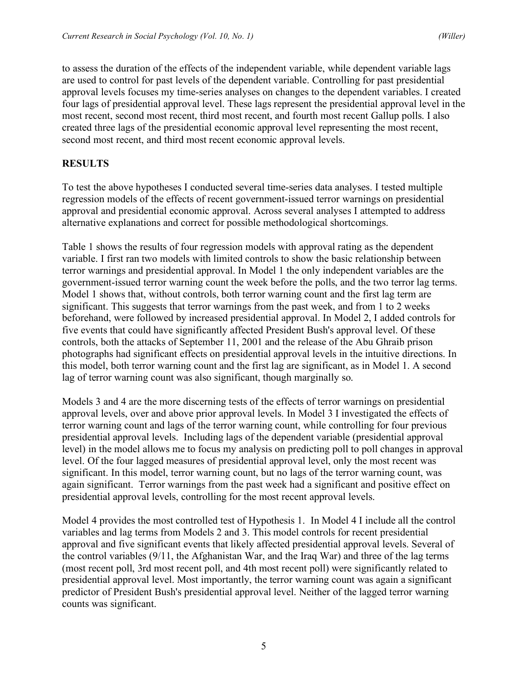to assess the duration of the effects of the independent variable, while dependent variable lags are used to control for past levels of the dependent variable. Controlling for past presidential approval levels focuses my time-series analyses on changes to the dependent variables. I created four lags of presidential approval level. These lags represent the presidential approval level in the most recent, second most recent, third most recent, and fourth most recent Gallup polls. I also created three lags of the presidential economic approval level representing the most recent, second most recent, and third most recent economic approval levels.

#### **RESULTS**

To test the above hypotheses I conducted several time-series data analyses. I tested multiple regression models of the effects of recent government-issued terror warnings on presidential approval and presidential economic approval. Across several analyses I attempted to address alternative explanations and correct for possible methodological shortcomings.

Table 1 shows the results of four regression models with approval rating as the dependent variable. I first ran two models with limited controls to show the basic relationship between terror warnings and presidential approval. In Model 1 the only independent variables are the government-issued terror warning count the week before the polls, and the two terror lag terms. Model 1 shows that, without controls, both terror warning count and the first lag term are significant. This suggests that terror warnings from the past week, and from 1 to 2 weeks beforehand, were followed by increased presidential approval. In Model 2, I added controls for five events that could have significantly affected President Bush's approval level. Of these controls, both the attacks of September 11, 2001 and the release of the Abu Ghraib prison photographs had significant effects on presidential approval levels in the intuitive directions. In this model, both terror warning count and the first lag are significant, as in Model 1. A second lag of terror warning count was also significant, though marginally so.

Models 3 and 4 are the more discerning tests of the effects of terror warnings on presidential approval levels, over and above prior approval levels. In Model 3 I investigated the effects of terror warning count and lags of the terror warning count, while controlling for four previous presidential approval levels. Including lags of the dependent variable (presidential approval level) in the model allows me to focus my analysis on predicting poll to poll changes in approval level. Of the four lagged measures of presidential approval level, only the most recent was significant. In this model, terror warning count, but no lags of the terror warning count, was again significant. Terror warnings from the past week had a significant and positive effect on presidential approval levels, controlling for the most recent approval levels.

Model 4 provides the most controlled test of Hypothesis 1. In Model 4 I include all the control variables and lag terms from Models 2 and 3. This model controls for recent presidential approval and five significant events that likely affected presidential approval levels. Several of the control variables (9/11, the Afghanistan War, and the Iraq War) and three of the lag terms (most recent poll, 3rd most recent poll, and 4th most recent poll) were significantly related to presidential approval level. Most importantly, the terror warning count was again a significant predictor of President Bush's presidential approval level. Neither of the lagged terror warning counts was significant.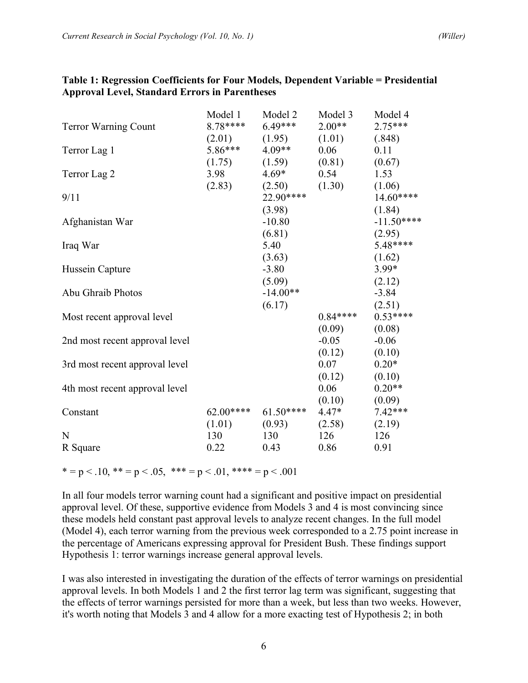|                                | Model 1    | Model 2    | Model 3   | Model 4     |
|--------------------------------|------------|------------|-----------|-------------|
| <b>Terror Warning Count</b>    | $8.78***$  | $6.49***$  | $2.00**$  | $2.75***$   |
|                                | (2.01)     | (1.95)     | (1.01)    | (.848)      |
| Terror Lag 1                   | $5.86***$  | $4.09**$   | 0.06      | 0.11        |
|                                | (1.75)     | (1.59)     | (0.81)    | (0.67)      |
| Terror Lag 2                   | 3.98       | $4.69*$    | 0.54      | 1.53        |
|                                | (2.83)     | (2.50)     | (1.30)    | (1.06)      |
| 9/11                           |            | 22.90****  |           | 14.60****   |
|                                |            | (3.98)     |           | (1.84)      |
| Afghanistan War                |            | $-10.80$   |           | $-11.50***$ |
|                                |            | (6.81)     |           | (2.95)      |
| Iraq War                       |            | 5.40       |           | $5.48***$   |
|                                |            | (3.63)     |           | (1.62)      |
| Hussein Capture                |            | $-3.80$    |           | $3.99*$     |
|                                |            | (5.09)     |           | (2.12)      |
| Abu Ghraib Photos              |            | $-14.00**$ |           | $-3.84$     |
|                                |            | (6.17)     |           | (2.51)      |
| Most recent approval level     |            |            | $0.84***$ | $0.53***$   |
|                                |            |            | (0.09)    | (0.08)      |
| 2nd most recent approval level |            |            | $-0.05$   | $-0.06$     |
|                                |            |            | (0.12)    | (0.10)      |
| 3rd most recent approval level |            |            | 0.07      | $0.20*$     |
|                                |            |            | (0.12)    | (0.10)      |
| 4th most recent approval level |            |            | 0.06      | $0.20**$    |
|                                |            |            | (0.10)    | (0.09)      |
| Constant                       | $62.00***$ | $61.50***$ | $4.47*$   | $7.42***$   |
|                                | (1.01)     | (0.93)     | (2.58)    | (2.19)      |
| N                              | 130        | 130        | 126       | 126         |
| R Square                       | 0.22       | 0.43       | 0.86      | 0.91        |
|                                |            |            |           |             |

#### **Table 1: Regression Coefficients for Four Models, Dependent Variable = Presidential Approval Level, Standard Errors in Parentheses**

\* = p < .10, \*\* = p < .05, \*\*\* = p < .01, \*\*\*\* = p < .001

In all four models terror warning count had a significant and positive impact on presidential approval level. Of these, supportive evidence from Models 3 and 4 is most convincing since these models held constant past approval levels to analyze recent changes. In the full model (Model 4), each terror warning from the previous week corresponded to a 2.75 point increase in the percentage of Americans expressing approval for President Bush. These findings support Hypothesis 1: terror warnings increase general approval levels.

I was also interested in investigating the duration of the effects of terror warnings on presidential approval levels. In both Models 1 and 2 the first terror lag term was significant, suggesting that the effects of terror warnings persisted for more than a week, but less than two weeks. However, it's worth noting that Models 3 and 4 allow for a more exacting test of Hypothesis 2; in both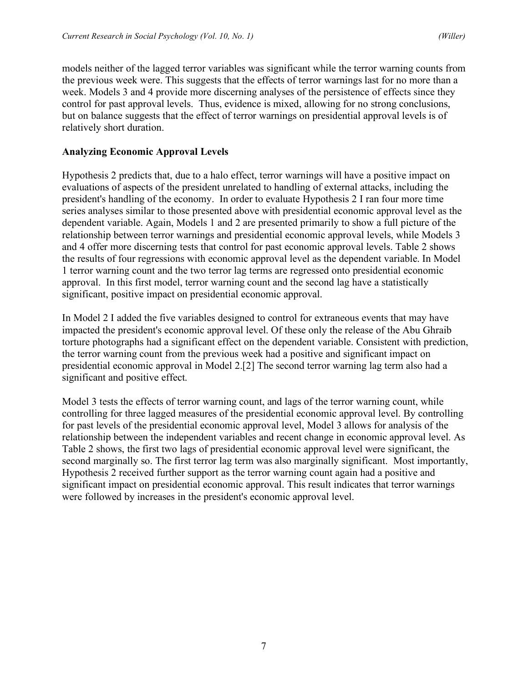models neither of the lagged terror variables was significant while the terror warning counts from the previous week were. This suggests that the effects of terror warnings last for no more than a week. Models 3 and 4 provide more discerning analyses of the persistence of effects since they control for past approval levels. Thus, evidence is mixed, allowing for no strong conclusions, but on balance suggests that the effect of terror warnings on presidential approval levels is of relatively short duration.

#### **Analyzing Economic Approval Levels**

Hypothesis 2 predicts that, due to a halo effect, terror warnings will have a positive impact on evaluations of aspects of the president unrelated to handling of external attacks, including the president's handling of the economy. In order to evaluate Hypothesis 2 I ran four more time series analyses similar to those presented above with presidential economic approval level as the dependent variable. Again, Models 1 and 2 are presented primarily to show a full picture of the relationship between terror warnings and presidential economic approval levels, while Models 3 and 4 offer more discerning tests that control for past economic approval levels. Table 2 shows the results of four regressions with economic approval level as the dependent variable. In Model 1 terror warning count and the two terror lag terms are regressed onto presidential economic approval. In this first model, terror warning count and the second lag have a statistically significant, positive impact on presidential economic approval.

In Model 2 I added the five variables designed to control for extraneous events that may have impacted the president's economic approval level. Of these only the release of the Abu Ghraib torture photographs had a significant effect on the dependent variable. Consistent with prediction, the terror warning count from the previous week had a positive and significant impact on presidential economic approval in Model 2.[2] The second terror warning lag term also had a significant and positive effect.

Model 3 tests the effects of terror warning count, and lags of the terror warning count, while controlling for three lagged measures of the presidential economic approval level. By controlling for past levels of the presidential economic approval level, Model 3 allows for analysis of the relationship between the independent variables and recent change in economic approval level. As Table 2 shows, the first two lags of presidential economic approval level were significant, the second marginally so. The first terror lag term was also marginally significant. Most importantly, Hypothesis 2 received further support as the terror warning count again had a positive and significant impact on presidential economic approval. This result indicates that terror warnings were followed by increases in the president's economic approval level.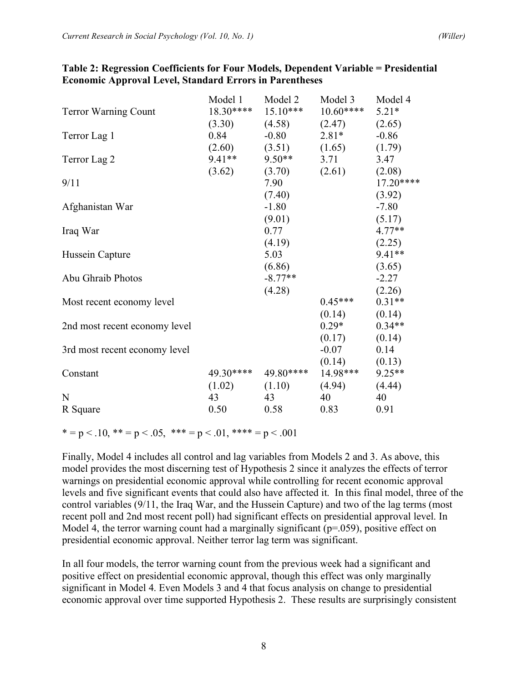|                               | Model 1    | Model 2    | Model 3           | Model 4    |
|-------------------------------|------------|------------|-------------------|------------|
| <b>Terror Warning Count</b>   | $18.30***$ | $15.10***$ | $10.60***$        | $5.21*$    |
|                               | (3.30)     |            | $(4.58)$ $(2.47)$ | (2.65)     |
| Terror Lag 1                  | 0.84       | $-0.80$    | $2.81*$           | $-0.86$    |
|                               | (2.60)     | (3.51)     | (1.65)            | (1.79)     |
| Terror Lag 2                  | $9.41**$   | $9.50**$   | 3.71              | 3.47       |
|                               | (3.62)     | (3.70)     | (2.61)            | (2.08)     |
| 9/11                          |            | 7.90       |                   | $17.20***$ |
|                               |            | (7.40)     |                   | (3.92)     |
| Afghanistan War               |            | $-1.80$    |                   | $-7.80$    |
|                               |            | (9.01)     |                   | (5.17)     |
| Iraq War                      |            | 0.77       |                   | $4.77**$   |
|                               |            | (4.19)     |                   | (2.25)     |
| Hussein Capture               |            | 5.03       |                   | 9.41**     |
|                               |            | (6.86)     |                   | (3.65)     |
| Abu Ghraib Photos             |            | $-8.77**$  |                   | $-2.27$    |
|                               |            | (4.28)     |                   | (2.26)     |
| Most recent economy level     |            |            | $0.45***$         | $0.31**$   |
|                               |            |            | (0.14)            | (0.14)     |
| 2nd most recent economy level |            |            | $0.29*$           | $0.34**$   |
|                               |            |            | (0.17)            | (0.14)     |
| 3rd most recent economy level |            |            | $-0.07$           | 0.14       |
|                               |            |            | $(0.14)$ $(0.13)$ |            |
| Constant                      | 49.30****  | 49.80****  | 14.98***          | $9.25**$   |
|                               | (1.02)     | (1.10)     | (4.94)            | (4.44)     |
| N                             | 43         | 43         | 40                | 40         |
| R Square                      | 0.50       | 0.58       | 0.83              | 0.91       |

#### **Table 2: Regression Coefficients for Four Models, Dependent Variable = Presidential Economic Approval Level, Standard Errors in Parentheses**

\* = p < .10, \*\* = p < .05, \*\*\* = p < .01, \*\*\*\* = p < .001

Finally, Model 4 includes all control and lag variables from Models 2 and 3. As above, this model provides the most discerning test of Hypothesis 2 since it analyzes the effects of terror warnings on presidential economic approval while controlling for recent economic approval levels and five significant events that could also have affected it. In this final model, three of the control variables (9/11, the Iraq War, and the Hussein Capture) and two of the lag terms (most recent poll and 2nd most recent poll) had significant effects on presidential approval level. In Model 4, the terror warning count had a marginally significant ( $p=0.059$ ), positive effect on presidential economic approval. Neither terror lag term was significant.

In all four models, the terror warning count from the previous week had a significant and positive effect on presidential economic approval, though this effect was only marginally significant in Model 4. Even Models 3 and 4 that focus analysis on change to presidential economic approval over time supported Hypothesis 2. These results are surprisingly consistent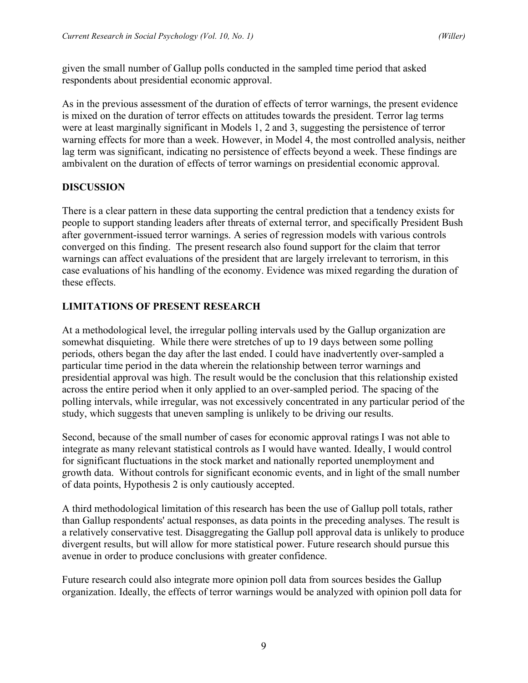given the small number of Gallup polls conducted in the sampled time period that asked respondents about presidential economic approval.

As in the previous assessment of the duration of effects of terror warnings, the present evidence is mixed on the duration of terror effects on attitudes towards the president. Terror lag terms were at least marginally significant in Models 1, 2 and 3, suggesting the persistence of terror warning effects for more than a week. However, in Model 4, the most controlled analysis, neither lag term was significant, indicating no persistence of effects beyond a week. These findings are ambivalent on the duration of effects of terror warnings on presidential economic approval.

## **DISCUSSION**

There is a clear pattern in these data supporting the central prediction that a tendency exists for people to support standing leaders after threats of external terror, and specifically President Bush after government-issued terror warnings. A series of regression models with various controls converged on this finding. The present research also found support for the claim that terror warnings can affect evaluations of the president that are largely irrelevant to terrorism, in this case evaluations of his handling of the economy. Evidence was mixed regarding the duration of these effects.

## **LIMITATIONS OF PRESENT RESEARCH**

At a methodological level, the irregular polling intervals used by the Gallup organization are somewhat disquieting. While there were stretches of up to 19 days between some polling periods, others began the day after the last ended. I could have inadvertently over-sampled a particular time period in the data wherein the relationship between terror warnings and presidential approval was high. The result would be the conclusion that this relationship existed across the entire period when it only applied to an over-sampled period. The spacing of the polling intervals, while irregular, was not excessively concentrated in any particular period of the study, which suggests that uneven sampling is unlikely to be driving our results.

Second, because of the small number of cases for economic approval ratings I was not able to integrate as many relevant statistical controls as I would have wanted. Ideally, I would control for significant fluctuations in the stock market and nationally reported unemployment and growth data. Without controls for significant economic events, and in light of the small number of data points, Hypothesis 2 is only cautiously accepted.

A third methodological limitation of this research has been the use of Gallup poll totals, rather than Gallup respondents' actual responses, as data points in the preceding analyses. The result is a relatively conservative test. Disaggregating the Gallup poll approval data is unlikely to produce divergent results, but will allow for more statistical power. Future research should pursue this avenue in order to produce conclusions with greater confidence.

Future research could also integrate more opinion poll data from sources besides the Gallup organization. Ideally, the effects of terror warnings would be analyzed with opinion poll data for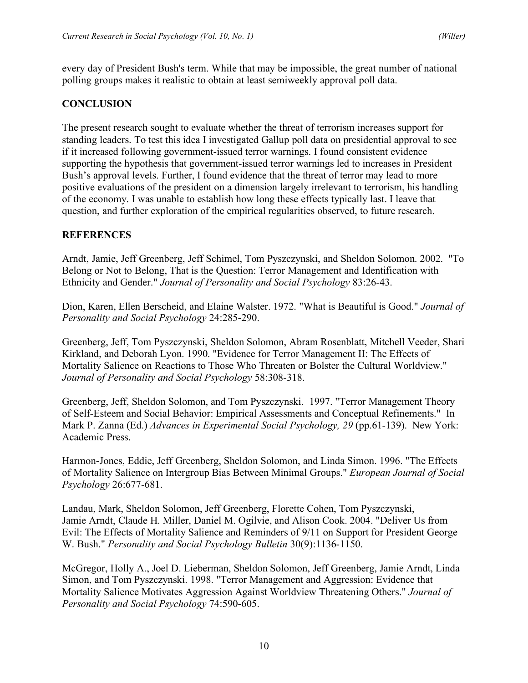every day of President Bush's term. While that may be impossible, the great number of national polling groups makes it realistic to obtain at least semiweekly approval poll data.

#### **CONCLUSION**

The present research sought to evaluate whether the threat of terrorism increases support for standing leaders. To test this idea I investigated Gallup poll data on presidential approval to see if it increased following government-issued terror warnings. I found consistent evidence supporting the hypothesis that government-issued terror warnings led to increases in President Bush's approval levels. Further, I found evidence that the threat of terror may lead to more positive evaluations of the president on a dimension largely irrelevant to terrorism, his handling of the economy. I was unable to establish how long these effects typically last. I leave that question, and further exploration of the empirical regularities observed, to future research.

#### **REFERENCES**

Arndt, Jamie, Jeff Greenberg, Jeff Schimel, Tom Pyszczynski, and Sheldon Solomon. 2002. "To Belong or Not to Belong, That is the Question: Terror Management and Identification with Ethnicity and Gender." *Journal of Personality and Social Psychology* 83:26-43.

Dion, Karen, Ellen Berscheid, and Elaine Walster. 1972. "What is Beautiful is Good." *Journal of Personality and Social Psychology* 24:285-290.

Greenberg, Jeff, Tom Pyszczynski, Sheldon Solomon, Abram Rosenblatt, Mitchell Veeder, Shari Kirkland, and Deborah Lyon. 1990. "Evidence for Terror Management II: The Effects of Mortality Salience on Reactions to Those Who Threaten or Bolster the Cultural Worldview." *Journal of Personality and Social Psychology* 58:308-318.

Greenberg, Jeff, Sheldon Solomon, and Tom Pyszczynski. 1997. "Terror Management Theory of Self-Esteem and Social Behavior: Empirical Assessments and Conceptual Refinements." In Mark P. Zanna (Ed.) *Advances in Experimental Social Psychology, 29* (pp.61-139). New York: Academic Press.

Harmon-Jones, Eddie, Jeff Greenberg, Sheldon Solomon, and Linda Simon. 1996. "The Effects of Mortality Salience on Intergroup Bias Between Minimal Groups." *European Journal of Social Psychology* 26:677-681.

Landau, Mark, Sheldon Solomon, Jeff Greenberg, Florette Cohen, Tom Pyszczynski, Jamie Arndt, Claude H. Miller, Daniel M. Ogilvie, and Alison Cook. 2004. "Deliver Us from Evil: The Effects of Mortality Salience and Reminders of 9/11 on Support for President George W. Bush." *Personality and Social Psychology Bulletin* 30(9):1136-1150.

McGregor, Holly A., Joel D. Lieberman, Sheldon Solomon, Jeff Greenberg, Jamie Arndt, Linda Simon, and Tom Pyszczynski. 1998. "Terror Management and Aggression: Evidence that Mortality Salience Motivates Aggression Against Worldview Threatening Others." *Journal of Personality and Social Psychology* 74:590-605.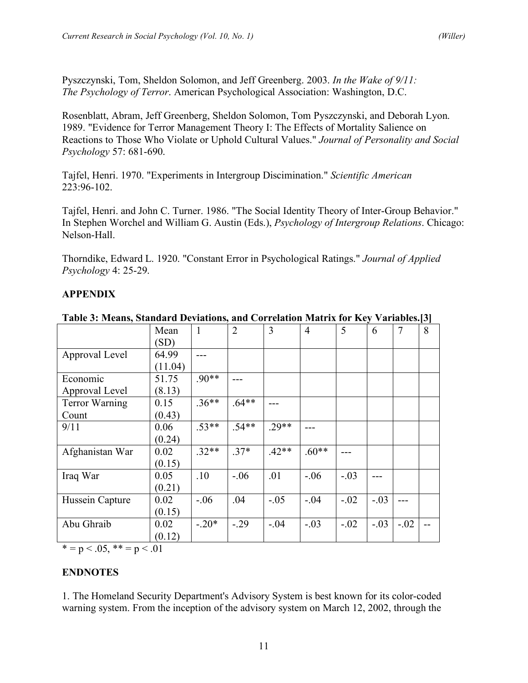Pyszczynski, Tom, Sheldon Solomon, and Jeff Greenberg. 2003. *In the Wake of 9/11: The Psychology of Terror*. American Psychological Association: Washington, D.C.

Rosenblatt, Abram, Jeff Greenberg, Sheldon Solomon, Tom Pyszczynski, and Deborah Lyon. 1989. "Evidence for Terror Management Theory I: The Effects of Mortality Salience on Reactions to Those Who Violate or Uphold Cultural Values." *Journal of Personality and Social Psychology* 57: 681-690.

Tajfel, Henri. 1970. "Experiments in Intergroup Discimination." *Scientific American* 223:96-102.

Tajfel, Henri. and John C. Turner. 1986. "The Social Identity Theory of Inter-Group Behavior." In Stephen Worchel and William G. Austin (Eds.), *Psychology of Intergroup Relations*. Chicago: Nelson-Hall.

Thorndike, Edward L. 1920. "Constant Error in Psychological Ratings." *Journal of Applied Psychology* 4: 25-29.

## **APPENDIX**

|                       | Mean    | $\mathbf{1}$ | $\overline{2}$ | 3       | $\overline{4}$ | 5      | 6      | $\overline{7}$ | 8 |
|-----------------------|---------|--------------|----------------|---------|----------------|--------|--------|----------------|---|
|                       | (SD)    |              |                |         |                |        |        |                |   |
| Approval Level        | 64.99   |              |                |         |                |        |        |                |   |
|                       | (11.04) |              |                |         |                |        |        |                |   |
| Economic              | 51.75   | $.90**$      |                |         |                |        |        |                |   |
| Approval Level        | (8.13)  |              |                |         |                |        |        |                |   |
| <b>Terror Warning</b> | 0.15    | $.36**$      | $.64**$        |         |                |        |        |                |   |
| Count                 | (0.43)  |              |                |         |                |        |        |                |   |
| 9/11                  | 0.06    | $.53**$      | $.54**$        | $29**$  |                |        |        |                |   |
|                       | (0.24)  |              |                |         |                |        |        |                |   |
| Afghanistan War       | 0.02    | $.32**$      | $.37*$         | $.42**$ | $.60**$        |        |        |                |   |
|                       | (0.15)  |              |                |         |                |        |        |                |   |
| Iraq War              | 0.05    | .10          | $-.06$         | .01     | $-.06$         | $-.03$ |        |                |   |
|                       | (0.21)  |              |                |         |                |        |        |                |   |
| Hussein Capture       | 0.02    | $-0.06$      | .04            | $-.05$  | $-.04$         | $-.02$ | $-.03$ |                |   |
|                       | (0.15)  |              |                |         |                |        |        |                |   |
| Abu Ghraib            | 0.02    | $-.20*$      | $-.29$         | $-.04$  | $-.03$         | $-.02$ | $-.03$ | $-.02$         |   |
|                       | (0.12)  |              |                |         |                |        |        |                |   |

**Table 3: Means, Standard Deviations, and Correlation Matrix for Key Variables.[3]**

 $* = p < .05, ** = p < .01$ 

## **ENDNOTES**

1. The Homeland Security Department's Advisory System is best known for its color-coded warning system. From the inception of the advisory system on March 12, 2002, through the